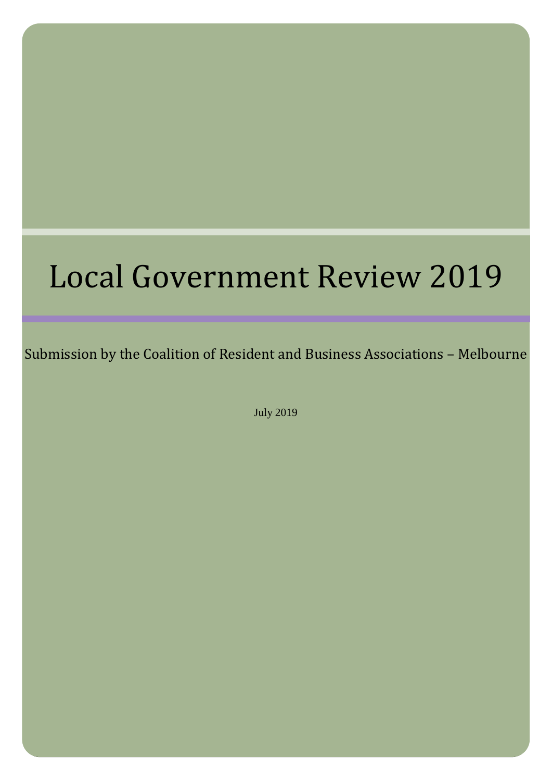# Local Government Review 2019

Submission by the Coalition of Resident and Business Associations – Melbourne

July 2019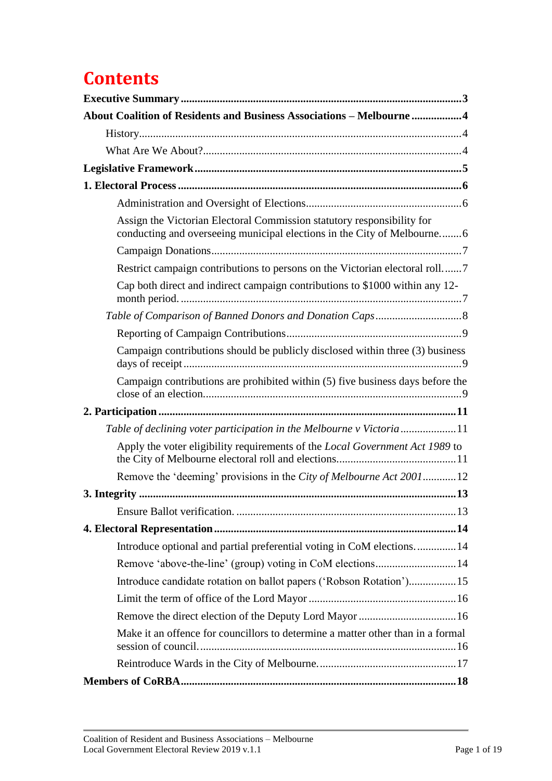# **Contents**

| About Coalition of Residents and Business Associations - Melbourne  4                                                                             |
|---------------------------------------------------------------------------------------------------------------------------------------------------|
|                                                                                                                                                   |
|                                                                                                                                                   |
|                                                                                                                                                   |
|                                                                                                                                                   |
|                                                                                                                                                   |
| Assign the Victorian Electoral Commission statutory responsibility for<br>conducting and overseeing municipal elections in the City of Melbourne6 |
|                                                                                                                                                   |
| Restrict campaign contributions to persons on the Victorian electoral roll7                                                                       |
| Cap both direct and indirect campaign contributions to \$1000 within any 12-                                                                      |
|                                                                                                                                                   |
|                                                                                                                                                   |
| Campaign contributions should be publicly disclosed within three (3) business                                                                     |
| Campaign contributions are prohibited within (5) five business days before the                                                                    |
|                                                                                                                                                   |
| Table of declining voter participation in the Melbourne v Victoria11                                                                              |
| Apply the voter eligibility requirements of the Local Government Act 1989 to                                                                      |
| Remove the 'deeming' provisions in the City of Melbourne Act 200112                                                                               |
|                                                                                                                                                   |
|                                                                                                                                                   |
|                                                                                                                                                   |
| Introduce optional and partial preferential voting in CoM elections 14                                                                            |
|                                                                                                                                                   |
| Introduce candidate rotation on ballot papers ('Robson Rotation') 15                                                                              |
|                                                                                                                                                   |
|                                                                                                                                                   |
| Make it an offence for councillors to determine a matter other than in a formal                                                                   |
|                                                                                                                                                   |
|                                                                                                                                                   |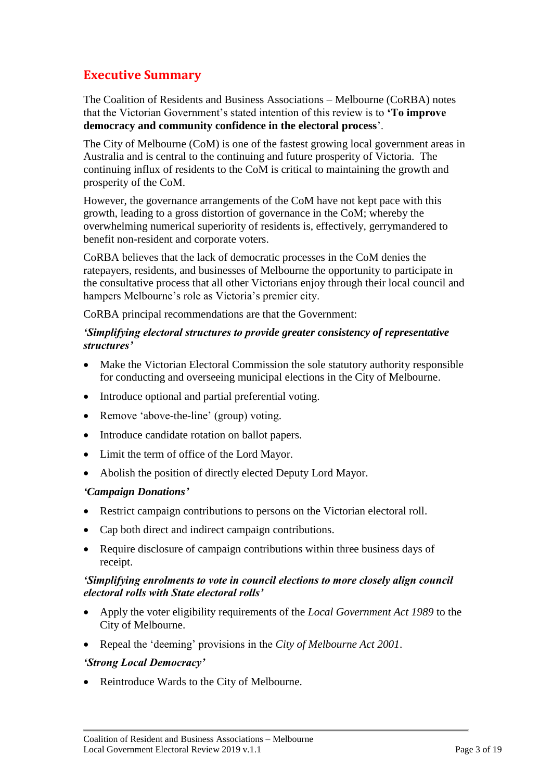# <span id="page-3-0"></span>**Executive Summary**

The Coalition of Residents and Business Associations – Melbourne (CoRBA) notes that the Victorian Government's stated intention of this review is to **'To improve democracy and community confidence in the electoral process**'.

The City of Melbourne (CoM) is one of the fastest growing local government areas in Australia and is central to the continuing and future prosperity of Victoria. The continuing influx of residents to the CoM is critical to maintaining the growth and prosperity of the CoM.

However, the governance arrangements of the CoM have not kept pace with this growth, leading to a gross distortion of governance in the CoM; whereby the overwhelming numerical superiority of residents is, effectively, gerrymandered to benefit non-resident and corporate voters.

CoRBA believes that the lack of democratic processes in the CoM denies the ratepayers, residents, and businesses of Melbourne the opportunity to participate in the consultative process that all other Victorians enjoy through their local council and hampers Melbourne's role as Victoria's premier city.

CoRBA principal recommendations are that the Government:

# *'Simplifying electoral structures to provide greater consistency of representative structures'*

- Make the Victorian Electoral Commission the sole statutory authority responsible for conducting and overseeing municipal elections in the City of Melbourne.
- Introduce optional and partial preferential voting.
- Remove 'above-the-line' (group) voting.
- Introduce candidate rotation on ballot papers.
- Limit the term of office of the Lord Mayor.
- Abolish the position of directly elected Deputy Lord Mayor.

# *'Campaign Donations'*

- Restrict campaign contributions to persons on the Victorian electoral roll.
- Cap both direct and indirect campaign contributions.
- Require disclosure of campaign contributions within three business days of receipt.

# *'Simplifying enrolments to vote in council elections to more closely align council electoral rolls with State electoral rolls'*

- Apply the voter eligibility requirements of the *Local Government Act 1989* to the City of Melbourne.
- Repeal the 'deeming' provisions in the *City of Melbourne Act 2001*.

# *'Strong Local Democracy'*

• Reintroduce Wards to the City of Melbourne.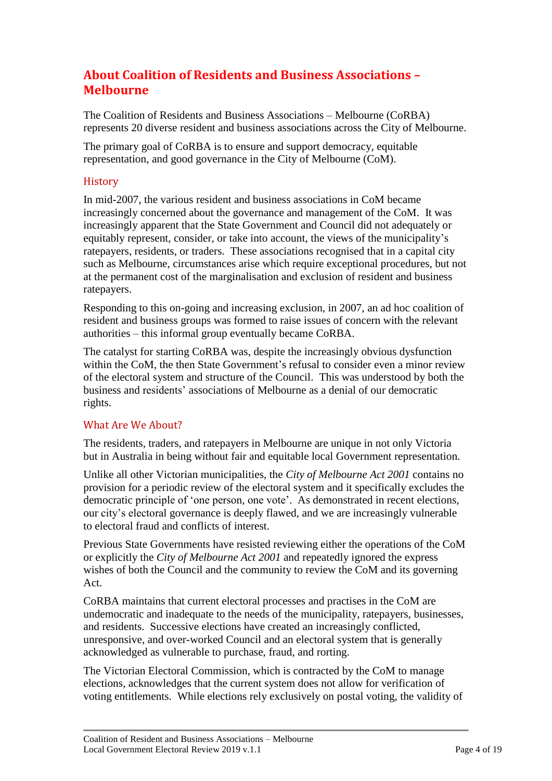# <span id="page-4-0"></span>**About Coalition of Residents and Business Associations – Melbourne**

The Coalition of Residents and Business Associations – Melbourne (CoRBA) represents 20 diverse resident and business associations across the City of Melbourne.

The primary goal of CoRBA is to ensure and support democracy, equitable representation, and good governance in the City of Melbourne (CoM).

# <span id="page-4-1"></span>**History**

In mid-2007, the various resident and business associations in CoM became increasingly concerned about the governance and management of the CoM. It was increasingly apparent that the State Government and Council did not adequately or equitably represent, consider, or take into account, the views of the municipality's ratepayers, residents, or traders. These associations recognised that in a capital city such as Melbourne, circumstances arise which require exceptional procedures, but not at the permanent cost of the marginalisation and exclusion of resident and business ratepayers.

Responding to this on-going and increasing exclusion, in 2007, an ad hoc coalition of resident and business groups was formed to raise issues of concern with the relevant authorities – this informal group eventually became CoRBA.

The catalyst for starting CoRBA was, despite the increasingly obvious dysfunction within the CoM, the then State Government's refusal to consider even a minor review of the electoral system and structure of the Council. This was understood by both the business and residents' associations of Melbourne as a denial of our democratic rights.

# <span id="page-4-2"></span>What Are We About?

The residents, traders, and ratepayers in Melbourne are unique in not only Victoria but in Australia in being without fair and equitable local Government representation.

Unlike all other Victorian municipalities, the *City of Melbourne Act 2001* contains no provision for a periodic review of the electoral system and it specifically excludes the democratic principle of 'one person, one vote'. As demonstrated in recent elections, our city's electoral governance is deeply flawed, and we are increasingly vulnerable to electoral fraud and conflicts of interest.

Previous State Governments have resisted reviewing either the operations of the CoM or explicitly the *City of Melbourne Act 2001* and repeatedly ignored the express wishes of both the Council and the community to review the CoM and its governing Act.

CoRBA maintains that current electoral processes and practises in the CoM are undemocratic and inadequate to the needs of the municipality, ratepayers, businesses, and residents. Successive elections have created an increasingly conflicted, unresponsive, and over-worked Council and an electoral system that is generally acknowledged as vulnerable to purchase, fraud, and rorting.

The Victorian Electoral Commission, which is contracted by the CoM to manage elections, acknowledges that the current system does not allow for verification of voting entitlements. While elections rely exclusively on postal voting, the validity of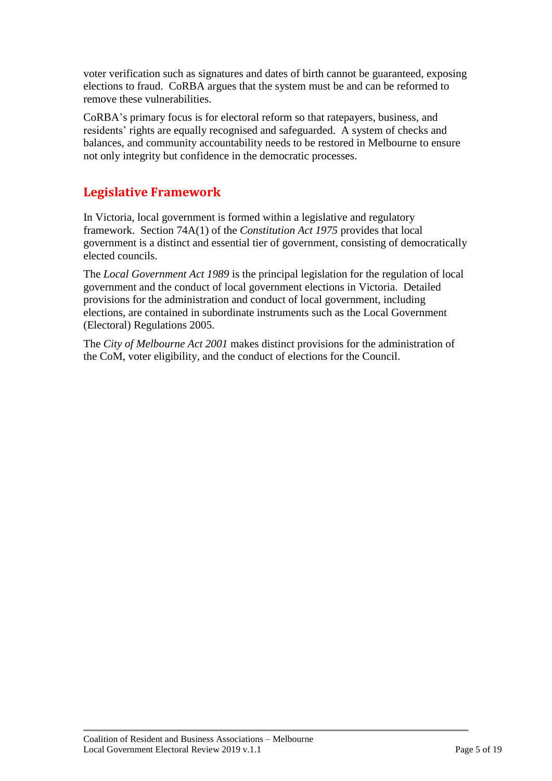voter verification such as signatures and dates of birth cannot be guaranteed, exposing elections to fraud. CoRBA argues that the system must be and can be reformed to remove these vulnerabilities.

CoRBA's primary focus is for electoral reform so that ratepayers, business, and residents' rights are equally recognised and safeguarded. A system of checks and balances, and community accountability needs to be restored in Melbourne to ensure not only integrity but confidence in the democratic processes.

# <span id="page-5-0"></span>**Legislative Framework**

In Victoria, local government is formed within a legislative and regulatory framework. Section 74A(1) of the *Constitution Act 1975* provides that local government is a distinct and essential tier of government, consisting of democratically elected councils.

The *Local Government Act 1989* is the principal legislation for the regulation of local government and the conduct of local government elections in Victoria. Detailed provisions for the administration and conduct of local government, including elections, are contained in subordinate instruments such as the Local Government (Electoral) Regulations 2005.

The *City of Melbourne Act 2001* makes distinct provisions for the administration of the CoM, voter eligibility, and the conduct of elections for the Council.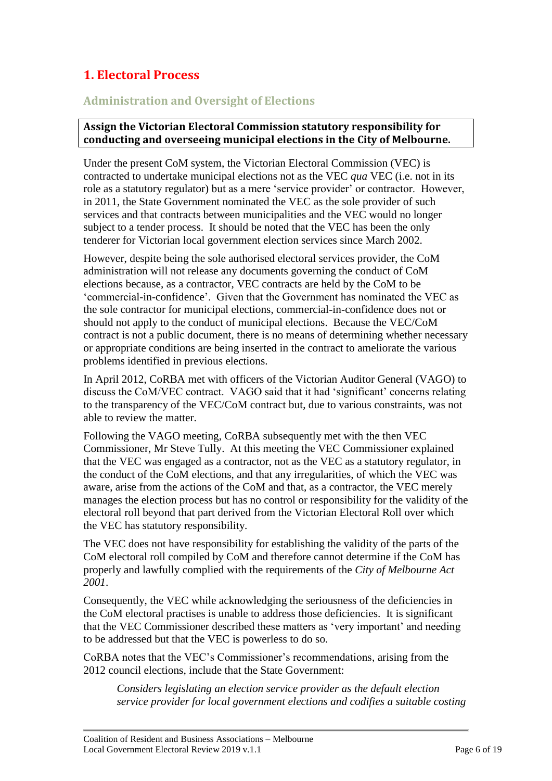# <span id="page-6-0"></span>**1. Electoral Process**

# <span id="page-6-1"></span>**Administration and Oversight of Elections**

# <span id="page-6-2"></span>**Assign the Victorian Electoral Commission statutory responsibility for conducting and overseeing municipal elections in the City of Melbourne.**

Under the present CoM system, the Victorian Electoral Commission (VEC) is contracted to undertake municipal elections not as the VEC *qua* VEC (i.e. not in its role as a statutory regulator) but as a mere 'service provider' or contractor. However, in 2011, the State Government nominated the VEC as the sole provider of such services and that contracts between municipalities and the VEC would no longer subject to a tender process. It should be noted that the VEC has been the only tenderer for Victorian local government election services since March 2002.

However, despite being the sole authorised electoral services provider, the CoM administration will not release any documents governing the conduct of CoM elections because, as a contractor, VEC contracts are held by the CoM to be 'commercial-in-confidence'. Given that the Government has nominated the VEC as the sole contractor for municipal elections, commercial-in-confidence does not or should not apply to the conduct of municipal elections. Because the VEC/CoM contract is not a public document, there is no means of determining whether necessary or appropriate conditions are being inserted in the contract to ameliorate the various problems identified in previous elections.

In April 2012, CoRBA met with officers of the Victorian Auditor General (VAGO) to discuss the CoM/VEC contract. VAGO said that it had 'significant' concerns relating to the transparency of the VEC/CoM contract but, due to various constraints, was not able to review the matter.

Following the VAGO meeting, CoRBA subsequently met with the then VEC Commissioner, Mr Steve Tully. At this meeting the VEC Commissioner explained that the VEC was engaged as a contractor, not as the VEC as a statutory regulator, in the conduct of the CoM elections, and that any irregularities, of which the VEC was aware, arise from the actions of the CoM and that, as a contractor, the VEC merely manages the election process but has no control or responsibility for the validity of the electoral roll beyond that part derived from the Victorian Electoral Roll over which the VEC has statutory responsibility.

The VEC does not have responsibility for establishing the validity of the parts of the CoM electoral roll compiled by CoM and therefore cannot determine if the CoM has properly and lawfully complied with the requirements of the *City of Melbourne Act 2001*.

Consequently, the VEC while acknowledging the seriousness of the deficiencies in the CoM electoral practises is unable to address those deficiencies. It is significant that the VEC Commissioner described these matters as 'very important' and needing to be addressed but that the VEC is powerless to do so.

CoRBA notes that the VEC's Commissioner's recommendations, arising from the 2012 council elections, include that the State Government:

*Considers legislating an election service provider as the default election service provider for local government elections and codifies a suitable costing*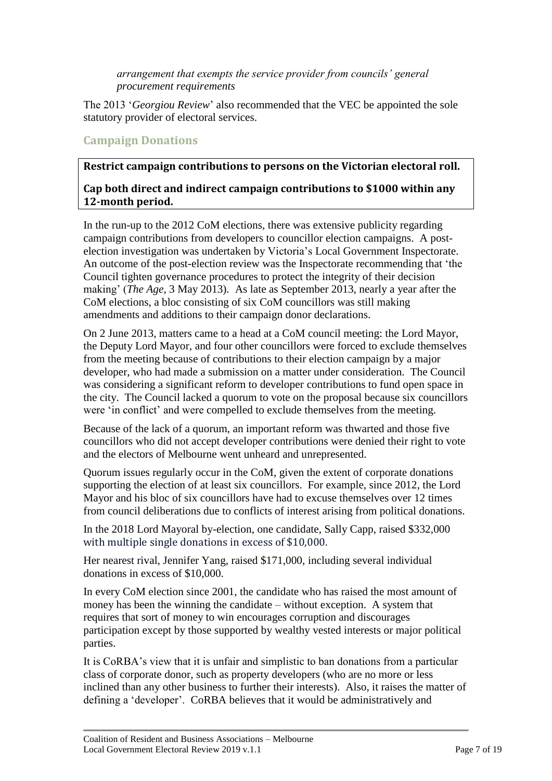*arrangement that exempts the service provider from councils' general procurement requirements*

The 2013 '*Georgiou Review*' also recommended that the VEC be appointed the sole statutory provider of electoral services.

# <span id="page-7-0"></span>**Campaign Donations**

# <span id="page-7-1"></span>**Restrict campaign contributions to persons on the Victorian electoral roll.**

# <span id="page-7-2"></span>**Cap both direct and indirect campaign contributions to \$1000 within any 12-month period.**

In the run-up to the 2012 CoM elections, there was extensive publicity regarding campaign contributions from developers to councillor election campaigns. A postelection investigation was undertaken by Victoria's Local Government Inspectorate. An outcome of the post-election review was the Inspectorate recommending that 'the Council tighten governance procedures to protect the integrity of their decision making' (*The Age,* 3 May 2013). As late as September 2013, nearly a year after the CoM elections, a bloc consisting of six CoM councillors was still making amendments and additions to their campaign donor declarations.

On 2 June 2013, matters came to a head at a CoM council meeting: the Lord Mayor, the Deputy Lord Mayor, and four other councillors were forced to exclude themselves from the meeting because of contributions to their election campaign by a major developer, who had made a submission on a matter under consideration. The Council was considering a significant reform to developer contributions to fund open space in the city. The Council lacked a quorum to vote on the proposal because six councillors were 'in conflict' and were compelled to exclude themselves from the meeting.

Because of the lack of a quorum, an important reform was thwarted and those five councillors who did not accept developer contributions were denied their right to vote and the electors of Melbourne went unheard and unrepresented.

Quorum issues regularly occur in the CoM, given the extent of corporate donations supporting the election of at least six councillors. For example, since 2012, the Lord Mayor and his bloc of six councillors have had to excuse themselves over 12 times from council deliberations due to conflicts of interest arising from political donations.

In the 2018 Lord Mayoral by-election, one candidate, Sally Capp, raised \$332,000 with multiple single donations in excess of \$10,000.

Her nearest rival, Jennifer Yang, raised \$171,000, including several individual donations in excess of \$10,000.

In every CoM election since 2001, the candidate who has raised the most amount of money has been the winning the candidate – without exception. A system that requires that sort of money to win encourages corruption and discourages participation except by those supported by wealthy vested interests or major political parties.

It is CoRBA's view that it is unfair and simplistic to ban donations from a particular class of corporate donor, such as property developers (who are no more or less inclined than any other business to further their interests). Also, it raises the matter of defining a 'developer'. CoRBA believes that it would be administratively and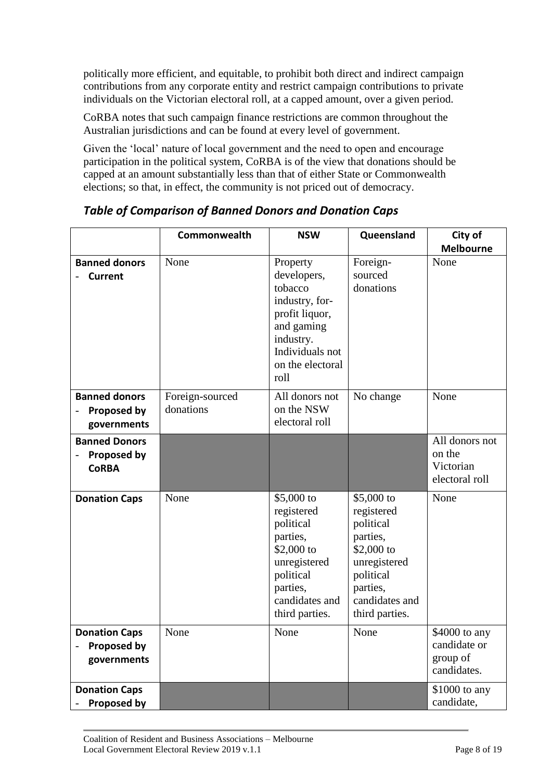politically more efficient, and equitable, to prohibit both direct and indirect campaign contributions from any corporate entity and restrict campaign contributions to private individuals on the Victorian electoral roll, at a capped amount, over a given period.

CoRBA notes that such campaign finance restrictions are common throughout the Australian jurisdictions and can be found at every level of government.

Given the 'local' nature of local government and the need to open and encourage participation in the political system, CoRBA is of the view that donations should be capped at an amount substantially less than that of either State or Commonwealth elections; so that, in effect, the community is not priced out of democracy.

|                                                            | Commonwealth                 | <b>NSW</b>                                                                                                                                       | Queensland                                                                                                                                   | City of<br><b>Melbourne</b>                              |
|------------------------------------------------------------|------------------------------|--------------------------------------------------------------------------------------------------------------------------------------------------|----------------------------------------------------------------------------------------------------------------------------------------------|----------------------------------------------------------|
| <b>Banned donors</b><br><b>Current</b>                     | None                         | Property<br>developers,<br>tobacco<br>industry, for-<br>profit liquor,<br>and gaming<br>industry.<br>Individuals not<br>on the electoral<br>roll | Foreign-<br>sourced<br>donations                                                                                                             | None                                                     |
| <b>Banned donors</b><br><b>Proposed by</b><br>governments  | Foreign-sourced<br>donations | All donors not<br>on the NSW<br>electoral roll                                                                                                   | No change                                                                                                                                    | None                                                     |
| <b>Banned Donors</b><br><b>Proposed by</b><br><b>CoRBA</b> |                              |                                                                                                                                                  |                                                                                                                                              | All donors not<br>on the<br>Victorian<br>electoral roll  |
| <b>Donation Caps</b>                                       | None                         | \$5,000 to<br>registered<br>political<br>parties,<br>\$2,000 to<br>unregistered<br>political<br>parties,<br>candidates and<br>third parties.     | \$5,000 to<br>registered<br>political<br>parties,<br>\$2,000 to<br>unregistered<br>political<br>parties,<br>candidates and<br>third parties. | None                                                     |
| <b>Donation Caps</b><br><b>Proposed by</b><br>governments  | None                         | None                                                                                                                                             | None                                                                                                                                         | \$4000 to any<br>candidate or<br>group of<br>candidates. |
| <b>Donation Caps</b><br><b>Proposed by</b>                 |                              |                                                                                                                                                  |                                                                                                                                              | \$1000 to any<br>candidate,                              |

<span id="page-8-0"></span>*Table of Comparison of Banned Donors and Donation Caps*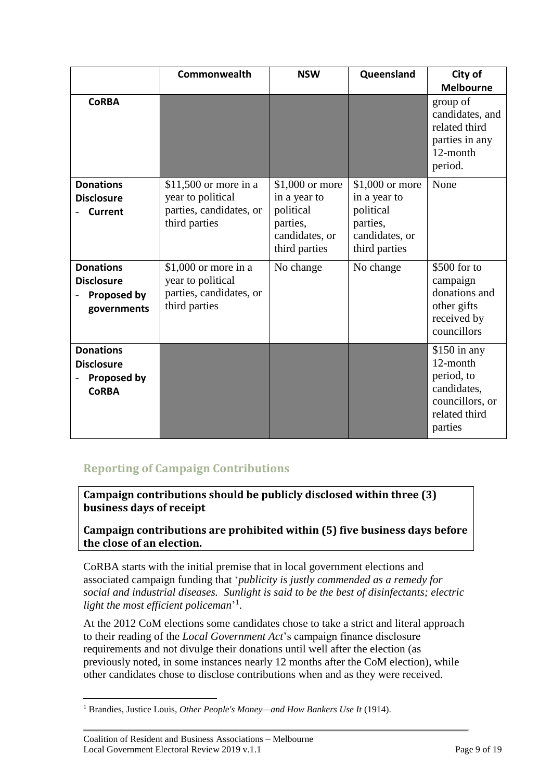|                                                                             | Commonwealth                                                                            | <b>NSW</b>                                                                                   | Queensland                                                                                  | City of<br><b>Melbourne</b>                                                                           |
|-----------------------------------------------------------------------------|-----------------------------------------------------------------------------------------|----------------------------------------------------------------------------------------------|---------------------------------------------------------------------------------------------|-------------------------------------------------------------------------------------------------------|
| <b>CoRBA</b>                                                                |                                                                                         |                                                                                              |                                                                                             | group of<br>candidates, and<br>related third<br>parties in any<br>12-month<br>period.                 |
| <b>Donations</b><br><b>Disclosure</b><br><b>Current</b>                     | $$11,500$ or more in a<br>year to political<br>parties, candidates, or<br>third parties | $$1,000$ or more<br>in a year to<br>political<br>parties,<br>candidates, or<br>third parties | \$1,000 or more<br>in a year to<br>political<br>parties,<br>candidates, or<br>third parties | None                                                                                                  |
| <b>Donations</b><br><b>Disclosure</b><br><b>Proposed by</b><br>governments  | \$1,000 or more in a<br>year to political<br>parties, candidates, or<br>third parties   | No change                                                                                    | No change                                                                                   | \$500 for to<br>campaign<br>donations and<br>other gifts<br>received by<br>councillors                |
| <b>Donations</b><br><b>Disclosure</b><br><b>Proposed by</b><br><b>CoRBA</b> |                                                                                         |                                                                                              |                                                                                             | $$150$ in any<br>12-month<br>period, to<br>candidates,<br>councillors, or<br>related third<br>parties |

# <span id="page-9-0"></span>**Reporting of Campaign Contributions**

<span id="page-9-1"></span>**Campaign contributions should be publicly disclosed within three (3) business days of receipt**

# <span id="page-9-2"></span>**Campaign contributions are prohibited within (5) five business days before the close of an election.**

CoRBA starts with the initial premise that in local government elections and associated campaign funding that '*publicity is justly commended as a remedy for social and industrial diseases. Sunlight is said to be the best of disinfectants; electric*  light the most efficient policeman'<sup>1</sup>.

At the 2012 CoM elections some candidates chose to take a strict and literal approach to their reading of the *Local Government Act*'s campaign finance disclosure requirements and not divulge their donations until well after the election (as previously noted, in some instances nearly 12 months after the CoM election), while other candidates chose to disclose contributions when and as they were received.

<sup>1</sup> <sup>1</sup> Brandies, Justice Louis, *Other People's Money—and How Bankers Use It* (1914).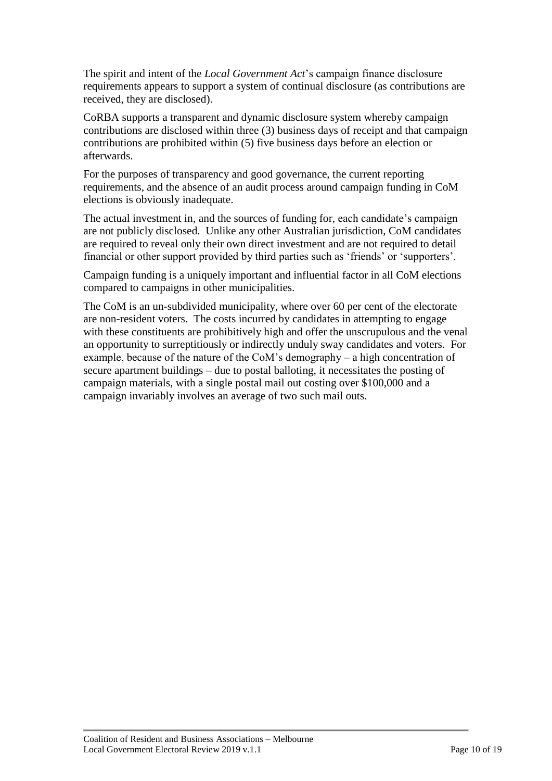The spirit and intent of the *Local Government Act*'s campaign finance disclosure requirements appears to support a system of continual disclosure (as contributions are received, they are disclosed).

CoRBA supports a transparent and dynamic disclosure system whereby campaign contributions are disclosed within three (3) business days of receipt and that campaign contributions are prohibited within (5) five business days before an election or afterwards.

For the purposes of transparency and good governance, the current reporting requirements, and the absence of an audit process around campaign funding in CoM elections is obviously inadequate.

The actual investment in, and the sources of funding for, each candidate's campaign are not publicly disclosed. Unlike any other Australian jurisdiction, CoM candidates are required to reveal only their own direct investment and are not required to detail financial or other support provided by third parties such as 'friends' or 'supporters'.

Campaign funding is a uniquely important and influential factor in all CoM elections compared to campaigns in other municipalities.

The CoM is an un-subdivided municipality, where over 60 per cent of the electorate are non-resident voters. The costs incurred by candidates in attempting to engage with these constituents are prohibitively high and offer the unscrupulous and the venal an opportunity to surreptitiously or indirectly unduly sway candidates and voters. For example, because of the nature of the CoM's demography – a high concentration of secure apartment buildings – due to postal balloting, it necessitates the posting of campaign materials, with a single postal mail out costing over \$100,000 and a campaign invariably involves an average of two such mail outs.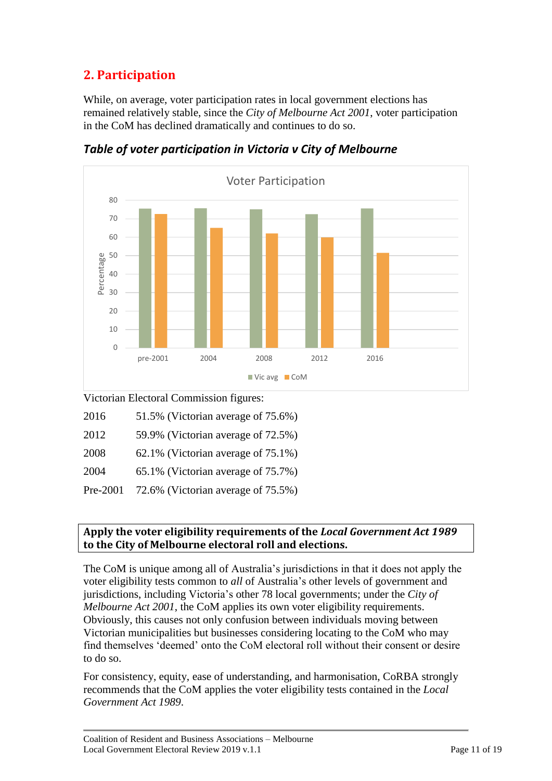# <span id="page-11-0"></span>**2. Participation**

While, on average, voter participation rates in local government elections has remained relatively stable, since the *City of Melbourne Act 2001*, voter participation in the CoM has declined dramatically and continues to do so.



<span id="page-11-1"></span>*Table of voter participation in Victoria v City of Melbourne*

Victorian Electoral Commission figures:

| 2016 | 51.5% (Victorian average of 75.6%) |  |
|------|------------------------------------|--|
|      |                                    |  |

| 2012 | 59.9% (Victorian average of 72.5%) |  |  |
|------|------------------------------------|--|--|
|      |                                    |  |  |

| 2004 |  | 65.1% (Victorian average of 75.7%) |  |  |
|------|--|------------------------------------|--|--|
|------|--|------------------------------------|--|--|

Pre-2001 72.6% (Victorian average of 75.5%)

# <span id="page-11-2"></span>**Apply the voter eligibility requirements of the** *Local Government Act 1989* **to the City of Melbourne electoral roll and elections.**

The CoM is unique among all of Australia's jurisdictions in that it does not apply the voter eligibility tests common to *all* of Australia's other levels of government and jurisdictions, including Victoria's other 78 local governments; under the *City of Melbourne Act 2001*, the CoM applies its own voter eligibility requirements. Obviously, this causes not only confusion between individuals moving between Victorian municipalities but businesses considering locating to the CoM who may find themselves 'deemed' onto the CoM electoral roll without their consent or desire to do so.

For consistency, equity, ease of understanding, and harmonisation, CoRBA strongly recommends that the CoM applies the voter eligibility tests contained in the *Local Government Act 1989*.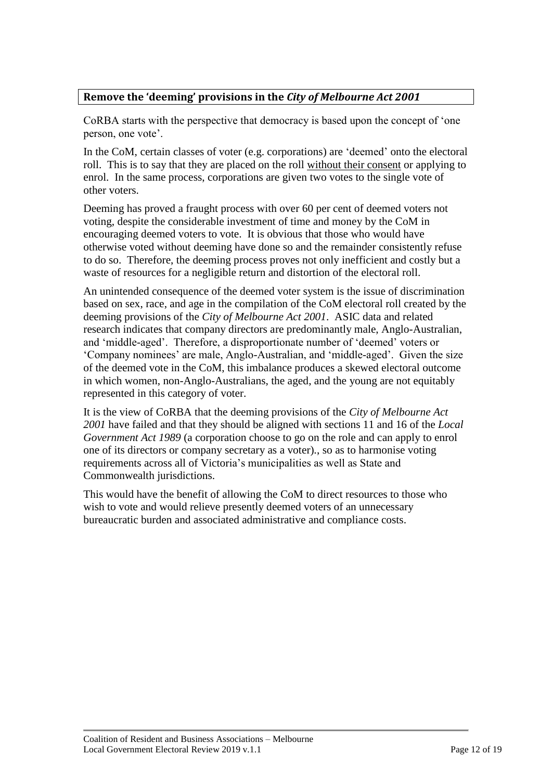# <span id="page-12-0"></span>**Remove the 'deeming' provisions in the** *City of Melbourne Act 2001*

CoRBA starts with the perspective that democracy is based upon the concept of 'one person, one vote'.

In the CoM, certain classes of voter (e.g. corporations) are 'deemed' onto the electoral roll. This is to say that they are placed on the roll without their consent or applying to enrol. In the same process, corporations are given two votes to the single vote of other voters.

Deeming has proved a fraught process with over 60 per cent of deemed voters not voting, despite the considerable investment of time and money by the CoM in encouraging deemed voters to vote. It is obvious that those who would have otherwise voted without deeming have done so and the remainder consistently refuse to do so. Therefore, the deeming process proves not only inefficient and costly but a waste of resources for a negligible return and distortion of the electoral roll.

An unintended consequence of the deemed voter system is the issue of discrimination based on sex, race, and age in the compilation of the CoM electoral roll created by the deeming provisions of the *City of Melbourne Act 2001*. ASIC data and related research indicates that company directors are predominantly male, Anglo-Australian, and 'middle-aged'. Therefore, a disproportionate number of 'deemed' voters or 'Company nominees' are male, Anglo-Australian, and 'middle-aged'. Given the size of the deemed vote in the CoM, this imbalance produces a skewed electoral outcome in which women, non-Anglo-Australians, the aged, and the young are not equitably represented in this category of voter.

It is the view of CoRBA that the deeming provisions of the *City of Melbourne Act 2001* have failed and that they should be aligned with sections 11 and 16 of the *Local Government Act 1989* (a corporation choose to go on the role and can apply to enrol one of its directors or company secretary as a voter)*.*, so as to harmonise voting requirements across all of Victoria's municipalities as well as State and Commonwealth jurisdictions.

This would have the benefit of allowing the CoM to direct resources to those who wish to vote and would relieve presently deemed voters of an unnecessary bureaucratic burden and associated administrative and compliance costs.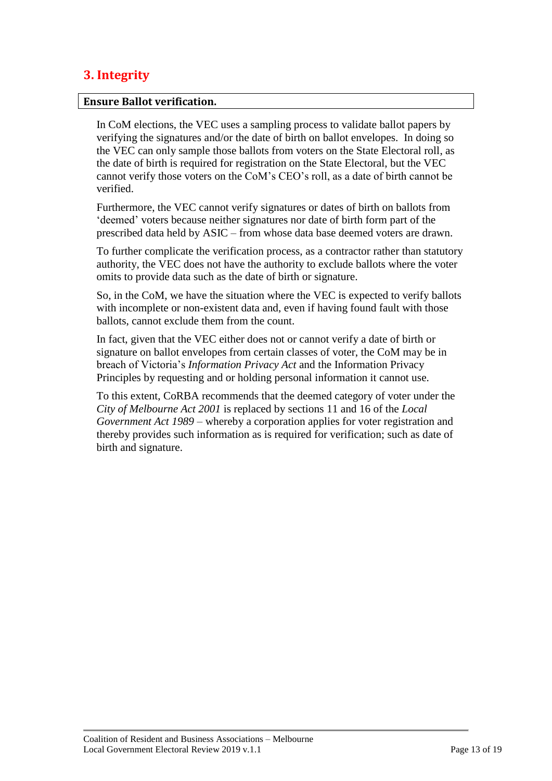# <span id="page-13-0"></span>**3. Integrity**

#### <span id="page-13-1"></span>**Ensure Ballot verification.**

In CoM elections, the VEC uses a sampling process to validate ballot papers by verifying the signatures and/or the date of birth on ballot envelopes. In doing so the VEC can only sample those ballots from voters on the State Electoral roll, as the date of birth is required for registration on the State Electoral, but the VEC cannot verify those voters on the CoM's CEO's roll, as a date of birth cannot be verified.

Furthermore, the VEC cannot verify signatures or dates of birth on ballots from 'deemed' voters because neither signatures nor date of birth form part of the prescribed data held by ASIC – from whose data base deemed voters are drawn.

To further complicate the verification process, as a contractor rather than statutory authority, the VEC does not have the authority to exclude ballots where the voter omits to provide data such as the date of birth or signature.

So, in the CoM, we have the situation where the VEC is expected to verify ballots with incomplete or non-existent data and, even if having found fault with those ballots, cannot exclude them from the count.

In fact, given that the VEC either does not or cannot verify a date of birth or signature on ballot envelopes from certain classes of voter, the CoM may be in breach of Victoria's *Information Privacy Act* and the Information Privacy Principles by requesting and or holding personal information it cannot use.

To this extent, CoRBA recommends that the deemed category of voter under the *City of Melbourne Act 2001* is replaced by sections 11 and 16 of the *Local Government Act 1989* – whereby a corporation applies for voter registration and thereby provides such information as is required for verification; such as date of birth and signature.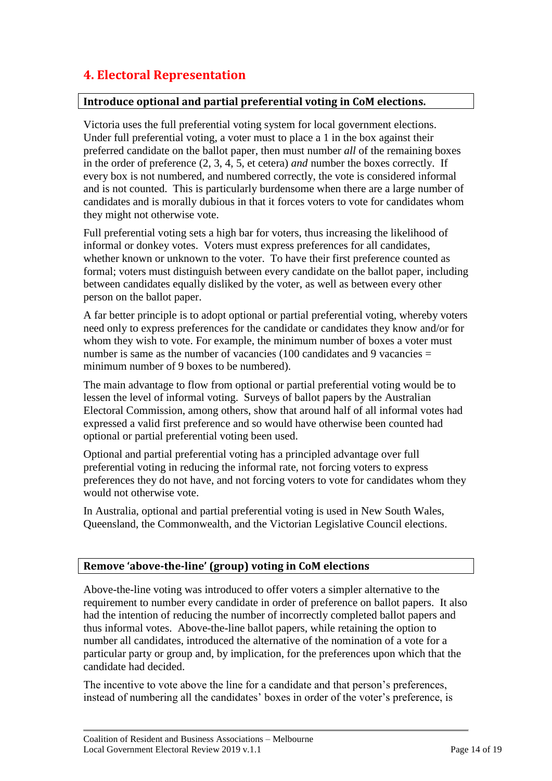# <span id="page-14-0"></span>**4. Electoral Representation**

# <span id="page-14-1"></span>**Introduce optional and partial preferential voting in CoM elections.**

Victoria uses the full preferential voting system for local government elections. Under full preferential voting, a voter must to place a 1 in the box against their preferred candidate on the ballot paper, then must number *all* of the remaining boxes in the order of preference (2, 3, 4, 5, et cetera) *and* number the boxes correctly. If every box is not numbered, and numbered correctly, the vote is considered informal and is not counted. This is particularly burdensome when there are a large number of candidates and is morally dubious in that it forces voters to vote for candidates whom they might not otherwise vote.

Full preferential voting sets a high bar for voters, thus increasing the likelihood of informal or donkey votes. Voters must express preferences for all candidates, whether known or unknown to the voter. To have their first preference counted as formal; voters must distinguish between every candidate on the ballot paper, including between candidates equally disliked by the voter, as well as between every other person on the ballot paper.

A far better principle is to adopt optional or partial preferential voting, whereby voters need only to express preferences for the candidate or candidates they know and/or for whom they wish to vote. For example, the minimum number of boxes a voter must number is same as the number of vacancies  $(100 \text{ candidates and } 9 \text{ vaccines})$ minimum number of 9 boxes to be numbered).

The main advantage to flow from optional or partial preferential voting would be to lessen the level of informal voting. Surveys of ballot papers by the Australian Electoral Commission, among others, show that around half of all informal votes had expressed a valid first preference and so would have otherwise been counted had optional or partial preferential voting been used.

Optional and partial preferential voting has a principled advantage over full preferential voting in reducing the informal rate, not forcing voters to express preferences they do not have, and not forcing voters to vote for candidates whom they would not otherwise vote.

In Australia, optional and partial preferential voting is used in New South Wales, Queensland, the Commonwealth, and the Victorian Legislative Council elections.

# <span id="page-14-2"></span>**Remove 'above-the-line' (group) voting in CoM elections**

Above-the-line voting was introduced to offer voters a simpler alternative to the requirement to number every candidate in order of preference on ballot papers. It also had the intention of reducing the number of incorrectly completed ballot papers and thus informal votes. Above-the-line ballot papers, while retaining the option to number all candidates, introduced the alternative of the nomination of a vote for a particular party or group and, by implication, for the preferences upon which that the candidate had decided.

The incentive to vote above the line for a candidate and that person's preferences, instead of numbering all the candidates' boxes in order of the voter's preference, is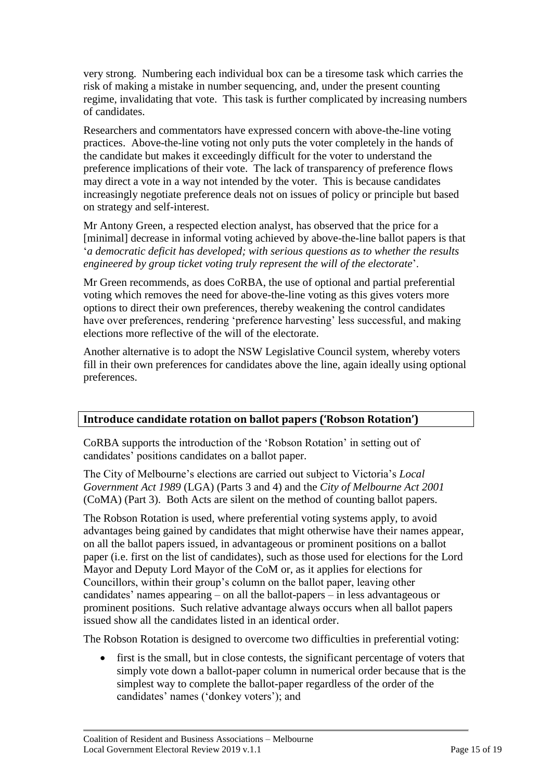very strong. Numbering each individual box can be a tiresome task which carries the risk of making a mistake in number sequencing, and, under the present counting regime, invalidating that vote. This task is further complicated by increasing numbers of candidates.

Researchers and commentators have expressed concern with above-the-line voting practices. Above-the-line voting not only puts the voter completely in the hands of the candidate but makes it exceedingly difficult for the voter to understand the preference implications of their vote. The lack of transparency of preference flows may direct a vote in a way not intended by the voter. This is because candidates increasingly negotiate preference deals not on issues of policy or principle but based on strategy and self-interest.

Mr Antony Green, a respected election analyst, has observed that the price for a [minimal] decrease in informal voting achieved by above-the-line ballot papers is that '*a democratic deficit has developed; with serious questions as to whether the results engineered by group ticket voting truly represent the will of the electorate*'.

Mr Green recommends, as does CoRBA, the use of optional and partial preferential voting which removes the need for above-the-line voting as this gives voters more options to direct their own preferences, thereby weakening the control candidates have over preferences, rendering 'preference harvesting' less successful, and making elections more reflective of the will of the electorate.

Another alternative is to adopt the NSW Legislative Council system, whereby voters fill in their own preferences for candidates above the line, again ideally using optional preferences.

# <span id="page-15-0"></span>**Introduce candidate rotation on ballot papers ('Robson Rotation')**

CoRBA supports the introduction of the 'Robson Rotation' in setting out of candidates' positions candidates on a ballot paper.

The City of Melbourne's elections are carried out subject to Victoria's *Local Government Act 1989* (LGA) (Parts 3 and 4) and the *City of Melbourne Act 2001* (CoMA) (Part 3). Both Acts are silent on the method of counting ballot papers.

The Robson Rotation is used, where preferential voting systems apply, to avoid advantages being gained by candidates that might otherwise have their names appear, on all the ballot papers issued, in advantageous or prominent positions on a ballot paper (i.e. first on the list of candidates), such as those used for elections for the Lord Mayor and Deputy Lord Mayor of the CoM or, as it applies for elections for Councillors, within their group's column on the ballot paper, leaving other candidates' names appearing – on all the ballot-papers – in less advantageous or prominent positions. Such relative advantage always occurs when all ballot papers issued show all the candidates listed in an identical order.

The Robson Rotation is designed to overcome two difficulties in preferential voting:

first is the small, but in close contests, the significant percentage of voters that simply vote down a ballot-paper column in numerical order because that is the simplest way to complete the ballot-paper regardless of the order of the candidates' names ('donkey voters'); and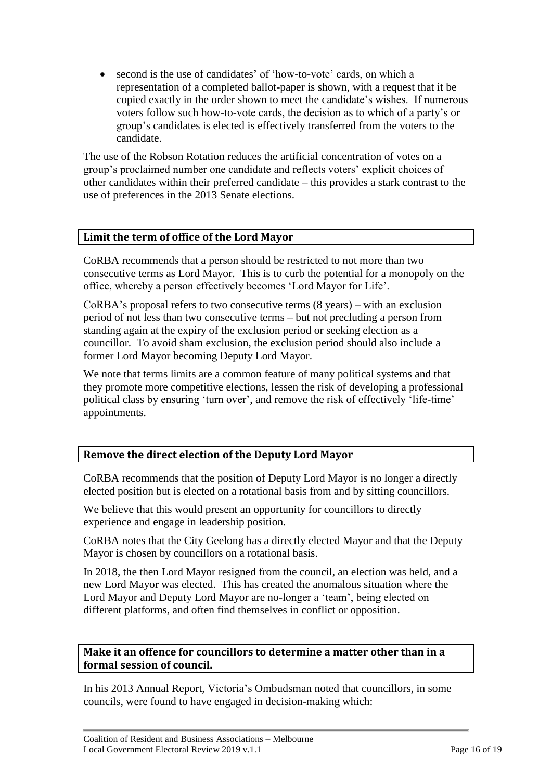• second is the use of candidates' of 'how-to-vote' cards, on which a representation of a completed ballot-paper is shown, with a request that it be copied exactly in the order shown to meet the candidate's wishes. If numerous voters follow such how-to-vote cards, the decision as to which of a party's or group's candidates is elected is effectively transferred from the voters to the candidate.

The use of the Robson Rotation reduces the artificial concentration of votes on a group's proclaimed number one candidate and reflects voters' explicit choices of other candidates within their preferred candidate – this provides a stark contrast to the use of preferences in the 2013 Senate elections.

# <span id="page-16-0"></span>**Limit the term of office of the Lord Mayor**

CoRBA recommends that a person should be restricted to not more than two consecutive terms as Lord Mayor. This is to curb the potential for a monopoly on the office, whereby a person effectively becomes 'Lord Mayor for Life'.

CoRBA's proposal refers to two consecutive terms (8 years) – with an exclusion period of not less than two consecutive terms – but not precluding a person from standing again at the expiry of the exclusion period or seeking election as a councillor. To avoid sham exclusion, the exclusion period should also include a former Lord Mayor becoming Deputy Lord Mayor.

We note that terms limits are a common feature of many political systems and that they promote more competitive elections, lessen the risk of developing a professional political class by ensuring 'turn over', and remove the risk of effectively 'life-time' appointments.

# <span id="page-16-1"></span>**Remove the direct election of the Deputy Lord Mayor**

CoRBA recommends that the position of Deputy Lord Mayor is no longer a directly elected position but is elected on a rotational basis from and by sitting councillors.

We believe that this would present an opportunity for councillors to directly experience and engage in leadership position.

CoRBA notes that the City Geelong has a directly elected Mayor and that the Deputy Mayor is chosen by councillors on a rotational basis.

In 2018, the then Lord Mayor resigned from the council, an election was held, and a new Lord Mayor was elected. This has created the anomalous situation where the Lord Mayor and Deputy Lord Mayor are no-longer a 'team', being elected on different platforms, and often find themselves in conflict or opposition.

# <span id="page-16-2"></span>**Make it an offence for councillors to determine a matter other than in a formal session of council.**

In his 2013 Annual Report, Victoria's Ombudsman noted that councillors, in some councils, were found to have engaged in decision-making which: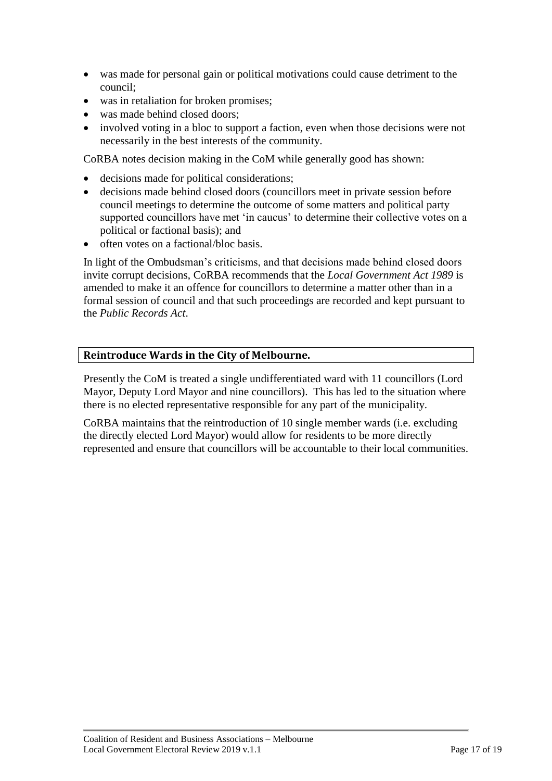- was made for personal gain or political motivations could cause detriment to the council;
- was in retaliation for broken promises;
- was made behind closed doors;
- involved voting in a bloc to support a faction, even when those decisions were not necessarily in the best interests of the community.

CoRBA notes decision making in the CoM while generally good has shown:

- decisions made for political considerations;
- decisions made behind closed doors (councillors meet in private session before council meetings to determine the outcome of some matters and political party supported councillors have met 'in caucus' to determine their collective votes on a political or factional basis); and
- often votes on a factional/bloc basis.

In light of the Ombudsman's criticisms, and that decisions made behind closed doors invite corrupt decisions, CoRBA recommends that the *Local Government Act 1989* is amended to make it an offence for councillors to determine a matter other than in a formal session of council and that such proceedings are recorded and kept pursuant to the *Public Records Act*.

# <span id="page-17-0"></span>**Reintroduce Wards in the City of Melbourne.**

Presently the CoM is treated a single undifferentiated ward with 11 councillors (Lord Mayor, Deputy Lord Mayor and nine councillors). This has led to the situation where there is no elected representative responsible for any part of the municipality.

CoRBA maintains that the reintroduction of 10 single member wards (i.e. excluding the directly elected Lord Mayor) would allow for residents to be more directly represented and ensure that councillors will be accountable to their local communities.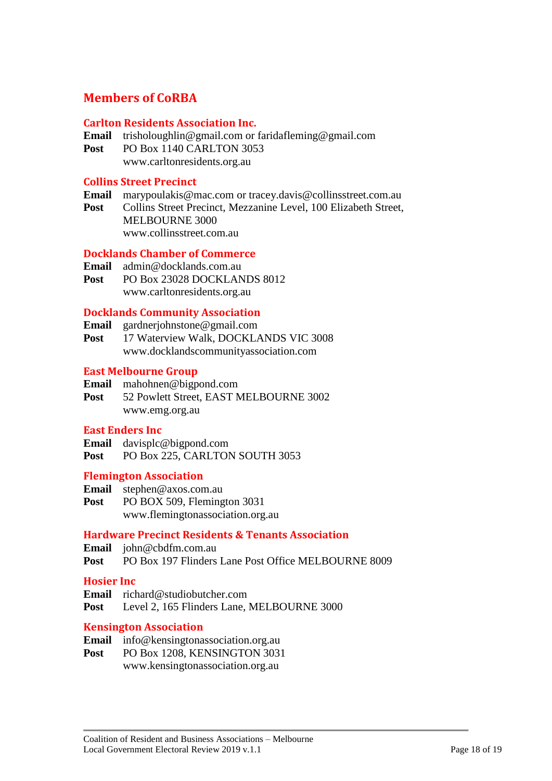# <span id="page-18-0"></span>**Members of CoRBA**

## **Carlton Residents Association Inc.**

- **Email** trisholoughlin@gmail.com or faridafleming@gmail.com
- **Post** PO Box 1140 CARLTON 3053 www.carltonresidents.org.au

#### **Collins Street Precinct**

- **Email** marypoulakis@mac.com or tracey.davis@collinsstreet.com.au
- Post Collins Street Precinct, Mezzanine Level, 100 Elizabeth Street, MELBOURNE 3000

www.collinsstreet.com.au

## **Docklands Chamber of Commerce**

- **Email** admin@docklands.com.au
- **Post** PO Box 23028 DOCKLANDS 8012 www.carltonresidents.org.au

# **Docklands Community Association**

- **Email** gardnerjohnstone@gmail.com
- **Post** 17 Waterview Walk, DOCKLANDS VIC 3008 www.docklandscommunityassociation.com

## **East Melbourne Group**

- **Email** mahohnen@bigpond.com
- **Post** 52 Powlett Street, EAST MELBOURNE 3002 www.emg.org.au

# **East Enders Inc**

- **Email** davisplc@bigpond.com
- Post PO Box 225, CARLTON SOUTH 3053

#### **Flemington Association**

**Email** stephen@axos.com.au Post PO BOX 509, Flemington 3031 www.flemingtonassociation.org.au

#### **Hardware Precinct Residents & Tenants Association**

- **Email** john@cbdfm.com.au
- **Post** PO Box 197 Flinders Lane Post Office MELBOURNE 8009

#### **Hosier Inc**

- **Email** richard@studiobutcher.com
- Post Level 2, 165 Flinders Lane, MELBOURNE 3000

#### **Kensington Association**

- **Email** info@kensingtonassociation.org.au
- Post PO Box 1208, KENSINGTON 3031 www.kensingtonassociation.org.au